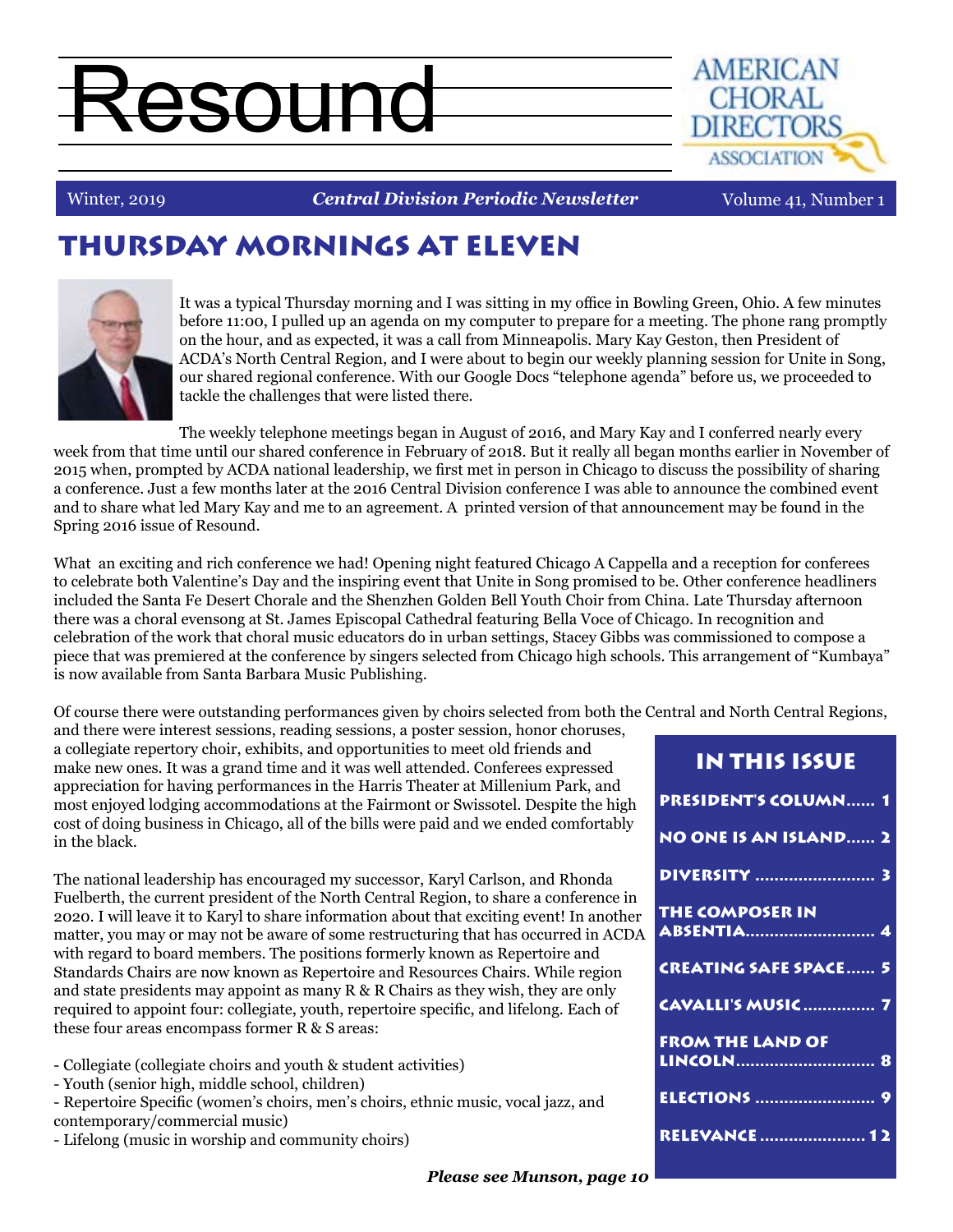# Resound



#### Winter, 2019

**Central Division Periodic Newsletter** Volume 41, Number 1

# THURSDAY MORNINGS AT ELEVEN



It was a typical Thursday morning and I was sitting in my office in Bowling Green, Ohio. A few minutes before 11:00, I pulled up an agenda on my computer to prepare for a meeting. The phone rang promptly on the hour, and as expected, it was a call from Minneapolis. Mary Kay Geston, then President of ACDA's North Central Region, and I were about to begin our weekly planning session for Unite in Song, our shared regional conference. With our Google Docs "telephone agenda" before us, we proceeded to tackle the challenges that were listed there.

The weekly telephone meetings began in August of 2016, and Mary Kay and I conferred nearly every week from that time until our shared conference in February of 2018. But it really all began months earlier in November of 2015 when, prompted by ACDA national leadership, we first met in person in Chicago to discuss the possibility of sharing a conference. Just a few months later at the 2016 Central Division conference I was able to announce the combined event and to share what led Mary Kay and me to an agreement. A printed version of that announcement may be found in the Spring 2016 issue of Resound.

What an exciting and rich conference we had! Opening night featured Chicago A Cappella and a reception for conferees to celebrate both Valentine's Day and the inspiring event that Unite in Song promised to be. Other conference headliners included the Santa Fe Desert Chorale and the Shenzhen Golden Bell Youth Choir from China. Late Thursday afternoon there was a choral evensong at St. James Episcopal Cathedral featuring Bella Voce of Chicago. In recognition and celebration of the work that choral music educators do in urban settings, Stacey Gibbs was commissioned to compose a piece that was premiered at the conference by singers selected from Chicago high schools. This arrangement of "Kumbaya" is now available from Santa Barbara Music Publishing.

Of course there were outstanding performances given by choirs selected from both the Central and North Central Regions,

and there were interest sessions, reading sessions, a poster session, honor choruses, a collegiate repertory choir, exhibits, and opportunities to meet old friends and make new ones. It was a grand time and it was well attended. Conferees expressed appreciation for having performances in the Harris Theater at Millenium Park, and most enjoyed lodging accommodations at the Fairmont or Swissotel. Despite the high cost of doing business in Chicago, all of the bills were paid and we ended comfortably in the black.

The national leadership has encouraged my successor, Karyl Carlson, and Rhonda Fuelberth, the current president of the North Central Region, to share a conference in 2020. I will leave it to Karyl to share information about that exciting event! In another matter, you may or may not be aware of some restructuring that has occurred in ACDA with regard to board members. The positions formerly known as Repertoire and Standards Chairs are now known as Repertoire and Resources Chairs. While region and state presidents may appoint as many R & R Chairs as they wish, they are only required to appoint four: collegiate, youth, repertoire specific, and lifelong. Each of these four areas encompass former R & S areas:

- Collegiate (collegiate choirs and youth & student activities)
- Youth (senior high, middle school, children)

- Repertoire Specific (women's choirs, men's choirs, ethnic music, vocal jazz, and contemporary/commercial music)

- Lifelong (music in worship and community choirs)

| IN THIS ISSUE                                    |
|--------------------------------------------------|
| <b>PRESIDENT'S COLUMN 1</b>                      |
| <b>NO ONE IS AN ISLAND 2</b>                     |
| <b>DIVERSITY</b> 3                               |
| <b>THE COMPOSER IN</b>                           |
| <b>CREATING SAFE SPACE 5</b>                     |
| <b>CAVALLI'S MUSIC  7</b>                        |
| <b>FROM THE LAND OF</b><br>LINCOLN <del></del> 8 |
| <u>ELECTIONS  9</u>                              |
| <b>RELEVANCE  12</b>                             |
|                                                  |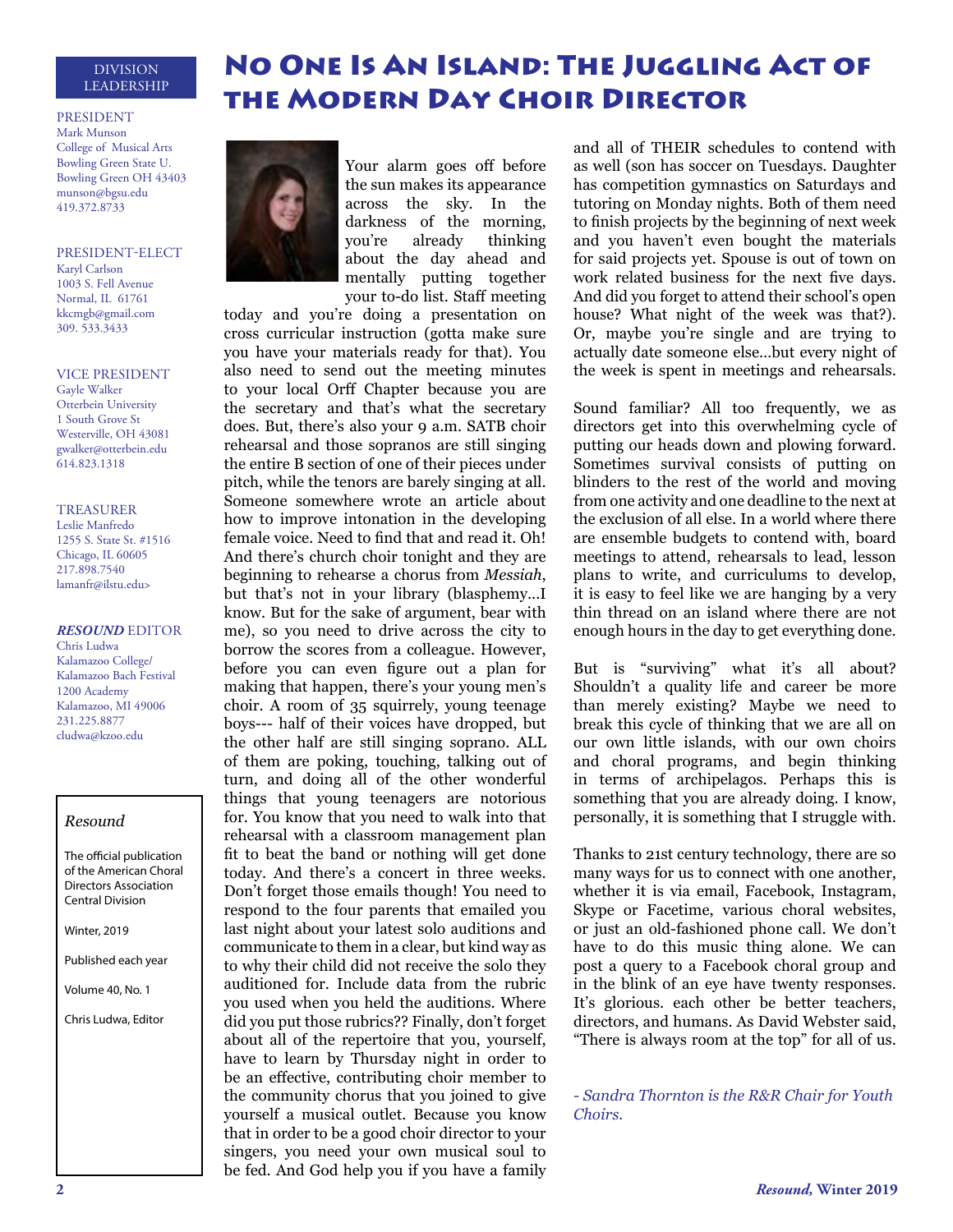#### DIVISION LEADERSHIP

#### PRESIDENT

Mark Munson College of Musical Arts Bowling Green State U. Bowling Green OH 43403 munson@bgsu.edu 419.372.8733

PRESIDENT-ELECT Karyl Carlson 1003 S. Fell Avenue Normal, IL 61761 kkcmgb@gmail.com 309. 533.3433

#### VICE PRESIDENT

Gayle Walker Otterbein University 1 South Grove St Westerville, OH 43081 gwalker@otterbein.edu 614.823.1318

#### TREASURER

Leslie Manfredo 1255 S. State St. #1516 Chicago, IL 60605 217.898.7540 lamanfr@ilstu.edu>

#### *RESOUND* EDITOR

Chris Ludwa Kalamazoo College/ Kalamazoo Bach Festival 1200 Academy Kalamazoo, MI 49006 231.225.8877 cludwa@kzoo.edu

#### *Resound*

The official publication of the American Choral Directors Association Central Division

Winter, 2019

Published each year

Volume 40, No. 1

Chris Ludwa, Editor



Your alarm goes off before the sun makes its appearance across the sky. In the darkness of the morning, you're already thinking about the day ahead and mentally putting together your to-do list. Staff meeting

the Modern Day Choir Director

No One Is An Island: The Juggling Act of

today and you're doing a presentation on cross curricular instruction (gotta make sure you have your materials ready for that). You also need to send out the meeting minutes to your local Orff Chapter because you are the secretary and that's what the secretary does. But, there's also your 9 a.m. SATB choir rehearsal and those sopranos are still singing the entire B section of one of their pieces under pitch, while the tenors are barely singing at all. Someone somewhere wrote an article about how to improve intonation in the developing female voice. Need to find that and read it. Oh! And there's church choir tonight and they are beginning to rehearse a chorus from *Messiah*, but that's not in your library (blasphemy...I know. But for the sake of argument, bear with me), so you need to drive across the city to borrow the scores from a colleague. However, before you can even figure out a plan for making that happen, there's your young men's choir. A room of 35 squirrely, young teenage boys--- half of their voices have dropped, but the other half are still singing soprano. ALL of them are poking, touching, talking out of turn, and doing all of the other wonderful things that young teenagers are notorious for. You know that you need to walk into that rehearsal with a classroom management plan fit to beat the band or nothing will get done today. And there's a concert in three weeks. Don't forget those emails though! You need to respond to the four parents that emailed you last night about your latest solo auditions and communicate to them in a clear, but kind way as to why their child did not receive the solo they auditioned for. Include data from the rubric you used when you held the auditions. Where did you put those rubrics?? Finally, don't forget about all of the repertoire that you, yourself, have to learn by Thursday night in order to be an effective, contributing choir member to the community chorus that you joined to give yourself a musical outlet. Because you know that in order to be a good choir director to your singers, you need your own musical soul to be fed. And God help you if you have a family

and all of THEIR schedules to contend with as well (son has soccer on Tuesdays. Daughter has competition gymnastics on Saturdays and tutoring on Monday nights. Both of them need to finish projects by the beginning of next week and you haven't even bought the materials for said projects yet. Spouse is out of town on work related business for the next five days. And did you forget to attend their school's open house? What night of the week was that?). Or, maybe you're single and are trying to actually date someone else…but every night of the week is spent in meetings and rehearsals.

Sound familiar? All too frequently, we as directors get into this overwhelming cycle of putting our heads down and plowing forward. Sometimes survival consists of putting on blinders to the rest of the world and moving from one activity and one deadline to the next at the exclusion of all else. In a world where there are ensemble budgets to contend with, board meetings to attend, rehearsals to lead, lesson plans to write, and curriculums to develop, it is easy to feel like we are hanging by a very thin thread on an island where there are not enough hours in the day to get everything done.

But is "surviving" what it's all about? Shouldn't a quality life and career be more than merely existing? Maybe we need to break this cycle of thinking that we are all on our own little islands, with our own choirs and choral programs, and begin thinking in terms of archipelagos. Perhaps this is something that you are already doing. I know, personally, it is something that I struggle with.

Thanks to 21st century technology, there are so many ways for us to connect with one another, whether it is via email, Facebook, Instagram, Skype or Facetime, various choral websites, or just an old-fashioned phone call. We don't have to do this music thing alone. We can post a query to a Facebook choral group and in the blink of an eye have twenty responses. It's glorious. each other be better teachers, directors, and humans. As David Webster said, "There is always room at the top" for all of us.

*- Sandra Thornton is the R&R Chair for Youth Choirs.*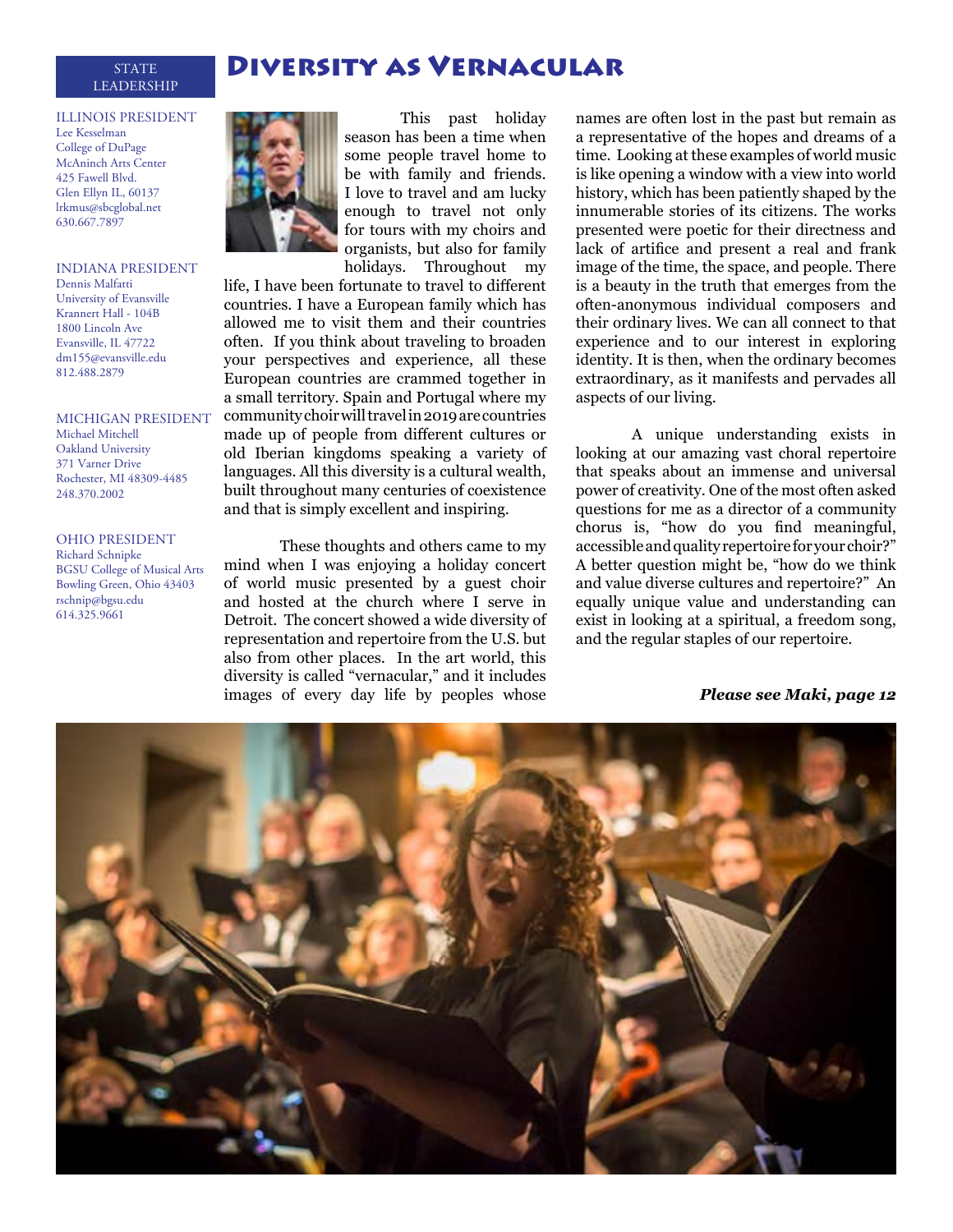#### STATE DIVERSITY AS VERNACULAR LEADERSHIP

#### ILLINOIS PRESIDENT Lee Kesselman College of DuPage McAninch Arts Center 425 Fawell Blvd. Glen Ellyn IL, 60137 lrkmus@sbcglobal.net 630.667.7897

#### INDIANA PRESIDENT

Dennis Malfatti University of Evansville Krannert Hall - 104B 1800 Lincoln Ave Evansville, IL 47722 dm155@evansville.edu 812.488.2879

#### MICHIGAN PRESIDENT

Michael Mitchell Oakland University 371 Varner Drive Rochester, MI 48309-4485 248.370.2002

#### OHIO PRESIDENT Richard Schnipke BGSU College of Musical Arts Bowling Green, Ohio 43403 rschnip@bgsu.edu 614.325.9661



This past holiday season has been a time when some people travel home to be with family and friends. I love to travel and am lucky enough to travel not only for tours with my choirs and organists, but also for family holidays. Throughout my

life, I have been fortunate to travel to different countries. I have a European family which has allowed me to visit them and their countries often. If you think about traveling to broaden your perspectives and experience, all these European countries are crammed together in a small territory. Spain and Portugal where my community choir will travel in 2019 are countries made up of people from different cultures or old Iberian kingdoms speaking a variety of languages. All this diversity is a cultural wealth, built throughout many centuries of coexistence and that is simply excellent and inspiring.

These thoughts and others came to my mind when I was enjoying a holiday concert of world music presented by a guest choir and hosted at the church where I serve in Detroit. The concert showed a wide diversity of representation and repertoire from the U.S. but also from other places. In the art world, this diversity is called "vernacular," and it includes images of every day life by peoples whose

names are often lost in the past but remain as a representative of the hopes and dreams of a time. Looking at these examples of world music is like opening a window with a view into world history, which has been patiently shaped by the innumerable stories of its citizens. The works presented were poetic for their directness and lack of artifice and present a real and frank image of the time, the space, and people. There is a beauty in the truth that emerges from the often-anonymous individual composers and their ordinary lives. We can all connect to that experience and to our interest in exploring identity. It is then, when the ordinary becomes extraordinary, as it manifests and pervades all aspects of our living.

A unique understanding exists in looking at our amazing vast choral repertoire that speaks about an immense and universal power of creativity. One of the most often asked questions for me as a director of a community chorus is, "how do you find meaningful, accessible and quality repertoire for your choir?" A better question might be, "how do we think and value diverse cultures and repertoire?" An equally unique value and understanding can exist in looking at a spiritual, a freedom song, and the regular staples of our repertoire.

*Please see Maki, page 12*

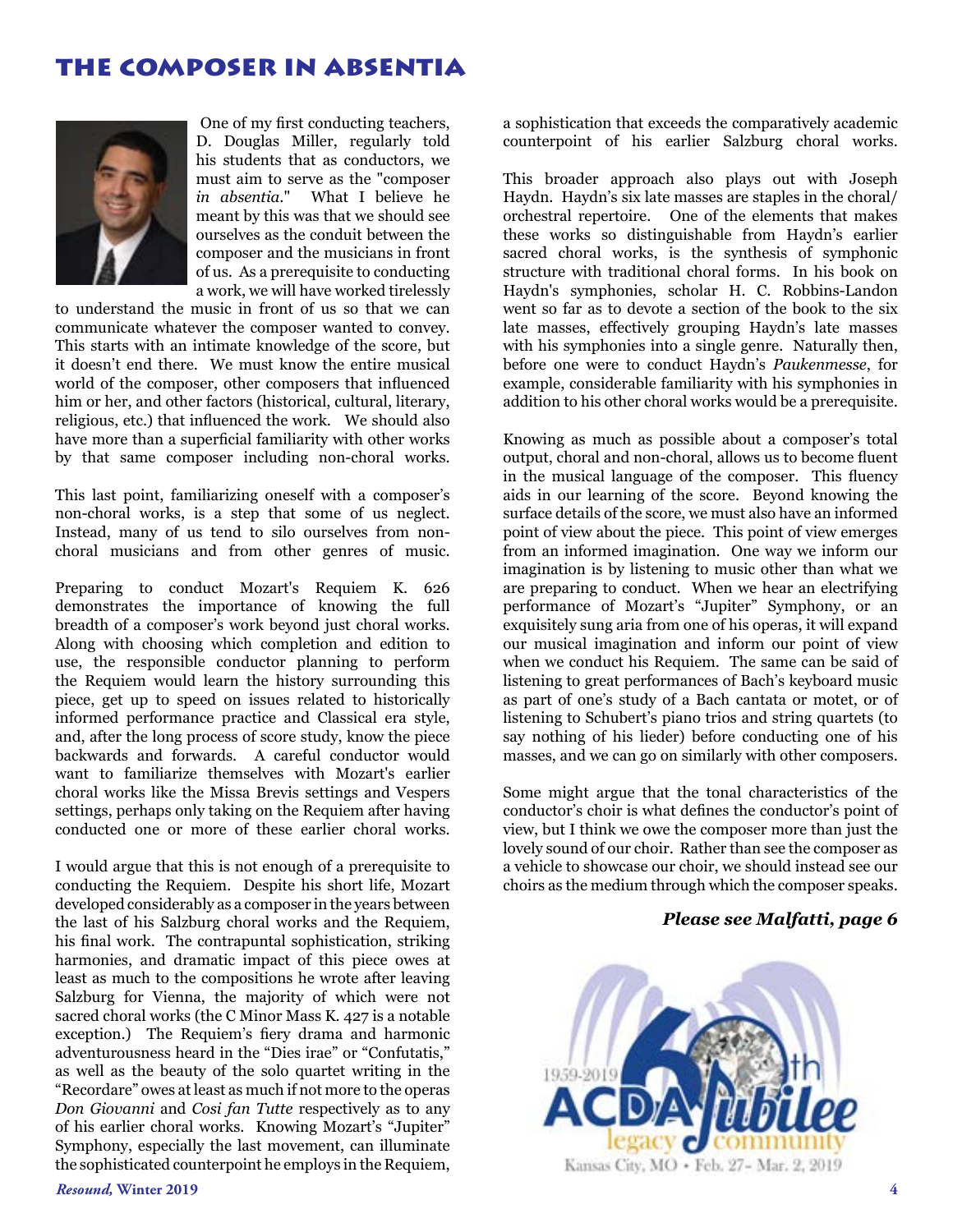### the composer in absentia



 One of my first conducting teachers, D. Douglas Miller, regularly told his students that as conductors, we must aim to serve as the "composer *in absentia*." What I believe he meant by this was that we should see ourselves as the conduit between the composer and the musicians in front of us. As a prerequisite to conducting a work, we will have worked tirelessly

to understand the music in front of us so that we can communicate whatever the composer wanted to convey. This starts with an intimate knowledge of the score, but it doesn't end there. We must know the entire musical world of the composer, other composers that influenced him or her, and other factors (historical, cultural, literary, religious, etc.) that influenced the work. We should also have more than a superficial familiarity with other works by that same composer including non-choral works.

This last point, familiarizing oneself with a composer's non-choral works, is a step that some of us neglect. Instead, many of us tend to silo ourselves from nonchoral musicians and from other genres of music.

Preparing to conduct Mozart's Requiem K. 626 demonstrates the importance of knowing the full breadth of a composer's work beyond just choral works. Along with choosing which completion and edition to use, the responsible conductor planning to perform the Requiem would learn the history surrounding this piece, get up to speed on issues related to historically informed performance practice and Classical era style, and, after the long process of score study, know the piece backwards and forwards. A careful conductor would want to familiarize themselves with Mozart's earlier choral works like the Missa Brevis settings and Vespers settings, perhaps only taking on the Requiem after having conducted one or more of these earlier choral works.

I would argue that this is not enough of a prerequisite to conducting the Requiem. Despite his short life, Mozart developed considerably as a composer in the years between the last of his Salzburg choral works and the Requiem, his final work. The contrapuntal sophistication, striking harmonies, and dramatic impact of this piece owes at least as much to the compositions he wrote after leaving Salzburg for Vienna, the majority of which were not sacred choral works (the C Minor Mass K. 427 is a notable exception.) The Requiem's fiery drama and harmonic adventurousness heard in the "Dies irae" or "Confutatis," as well as the beauty of the solo quartet writing in the "Recordare" owes at least as much if not more to the operas *Don Giovanni* and *Cosi fan Tutte* respectively as to any of his earlier choral works. Knowing Mozart's "Jupiter" Symphony, especially the last movement, can illuminate the sophisticated counterpoint he employs in the Requiem, a sophistication that exceeds the comparatively academic counterpoint of his earlier Salzburg choral works.

This broader approach also plays out with Joseph Haydn. Haydn's six late masses are staples in the choral/ orchestral repertoire. One of the elements that makes these works so distinguishable from Haydn's earlier sacred choral works, is the synthesis of symphonic structure with traditional choral forms. In his book on Haydn's symphonies, scholar H. C. Robbins-Landon went so far as to devote a section of the book to the six late masses, effectively grouping Haydn's late masses with his symphonies into a single genre. Naturally then, before one were to conduct Haydn's *Paukenmesse*, for example, considerable familiarity with his symphonies in addition to his other choral works would be a prerequisite.

Knowing as much as possible about a composer's total output, choral and non-choral, allows us to become fluent in the musical language of the composer. This fluency aids in our learning of the score. Beyond knowing the surface details of the score, we must also have an informed point of view about the piece. This point of view emerges from an informed imagination. One way we inform our imagination is by listening to music other than what we are preparing to conduct. When we hear an electrifying performance of Mozart's "Jupiter" Symphony, or an exquisitely sung aria from one of his operas, it will expand our musical imagination and inform our point of view when we conduct his Requiem. The same can be said of listening to great performances of Bach's keyboard music as part of one's study of a Bach cantata or motet, or of listening to Schubert's piano trios and string quartets (to say nothing of his lieder) before conducting one of his masses, and we can go on similarly with other composers.

Some might argue that the tonal characteristics of the conductor's choir is what defines the conductor's point of view, but I think we owe the composer more than just the lovely sound of our choir. Rather than see the composer as a vehicle to showcase our choir, we should instead see our choirs as the medium through which the composer speaks.

#### *Please see Malfatti, page 6*

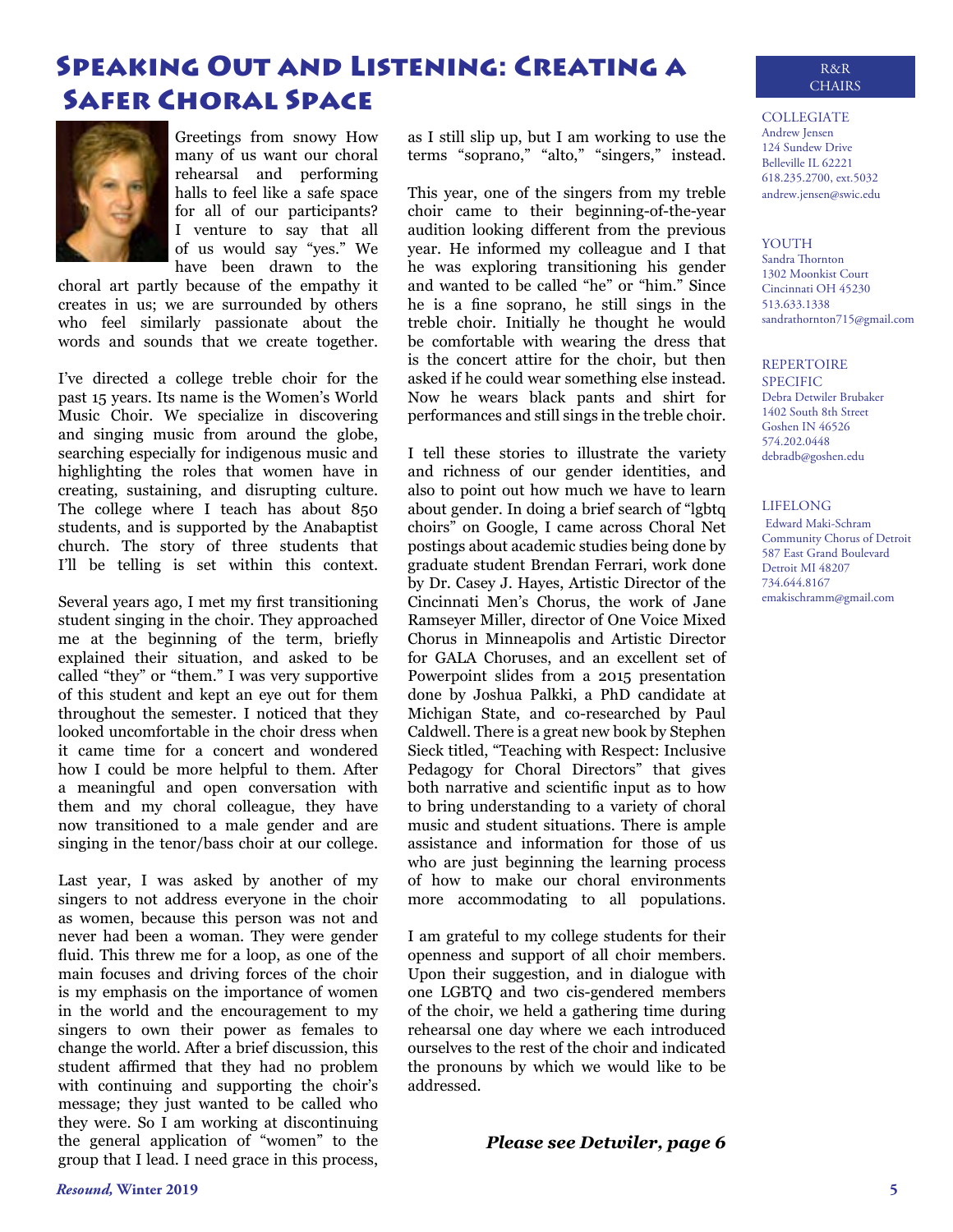# Speaking Out and Listening: Creating a Safer Choral Space



Greetings from snowy How many of us want our choral rehearsal and performing halls to feel like a safe space for all of our participants? I venture to say that all of us would say "yes." We have been drawn to the

choral art partly because of the empathy it creates in us; we are surrounded by others who feel similarly passionate about the words and sounds that we create together.

I've directed a college treble choir for the past 15 years. Its name is the Women's World Music Choir. We specialize in discovering and singing music from around the globe, searching especially for indigenous music and highlighting the roles that women have in creating, sustaining, and disrupting culture. The college where I teach has about 850 students, and is supported by the Anabaptist church. The story of three students that I'll be telling is set within this context.

Several years ago, I met my first transitioning student singing in the choir. They approached me at the beginning of the term, briefly explained their situation, and asked to be called "they" or "them." I was very supportive of this student and kept an eye out for them throughout the semester. I noticed that they looked uncomfortable in the choir dress when it came time for a concert and wondered how I could be more helpful to them. After a meaningful and open conversation with them and my choral colleague, they have now transitioned to a male gender and are singing in the tenor/bass choir at our college.

Last year, I was asked by another of my singers to not address everyone in the choir as women, because this person was not and never had been a woman. They were gender fluid. This threw me for a loop, as one of the main focuses and driving forces of the choir is my emphasis on the importance of women in the world and the encouragement to my singers to own their power as females to change the world. After a brief discussion, this student affirmed that they had no problem with continuing and supporting the choir's message; they just wanted to be called who they were. So I am working at discontinuing the general application of "women" to the group that I lead. I need grace in this process,

as I still slip up, but I am working to use the terms "soprano," "alto," "singers," instead.

This year, one of the singers from my treble choir came to their beginning-of-the-year audition looking different from the previous year. He informed my colleague and I that he was exploring transitioning his gender and wanted to be called "he" or "him." Since he is a fine soprano, he still sings in the treble choir. Initially he thought he would be comfortable with wearing the dress that is the concert attire for the choir, but then asked if he could wear something else instead. Now he wears black pants and shirt for performances and still sings in the treble choir.

I tell these stories to illustrate the variety and richness of our gender identities, and also to point out how much we have to learn about gender. In doing a brief search of "lgbtq choirs" on Google, I came across Choral Net postings about academic studies being done by graduate student Brendan Ferrari, work done by Dr. Casey J. Hayes, Artistic Director of the Cincinnati Men's Chorus, the work of Jane Ramseyer Miller, director of One Voice Mixed Chorus in Minneapolis and Artistic Director for GALA Choruses, and an excellent set of Powerpoint slides from a 2015 presentation done by Joshua Palkki, a PhD candidate at Michigan State, and co-researched by Paul Caldwell. There is a great new book by Stephen Sieck titled, "Teaching with Respect: Inclusive Pedagogy for Choral Directors" that gives both narrative and scientific input as to how to bring understanding to a variety of choral music and student situations. There is ample assistance and information for those of us who are just beginning the learning process of how to make our choral environments more accommodating to all populations.

I am grateful to my college students for their openness and support of all choir members. Upon their suggestion, and in dialogue with one LGBTQ and two cis-gendered members of the choir, we held a gathering time during rehearsal one day where we each introduced ourselves to the rest of the choir and indicated the pronouns by which we would like to be addressed.

#### *Please see Detwiler, page 6*

#### COLLEGIATE Andrew Jensen 124 Sundew Drive Belleville IL 62221 618.235.2700, ext.5032 andrew.jensen@swic.edu

#### **YOUTH**

Sandra Thornton 1302 Moonkist Court Cincinnati OH 45230 513.633.1338 sandrathornton715@gmail.com

#### REPERTOIRE

SPECIFIC Debra Detwiler Brubaker 1402 South 8th Street Goshen IN 46526 574.202.0448 debradb@goshen.edu

#### LIFELONG

Edward Maki-Schram Community Chorus of Detroit 587 East Grand Boulevard Detroit MI 48207 734.644.8167 emakischramm@gmail.com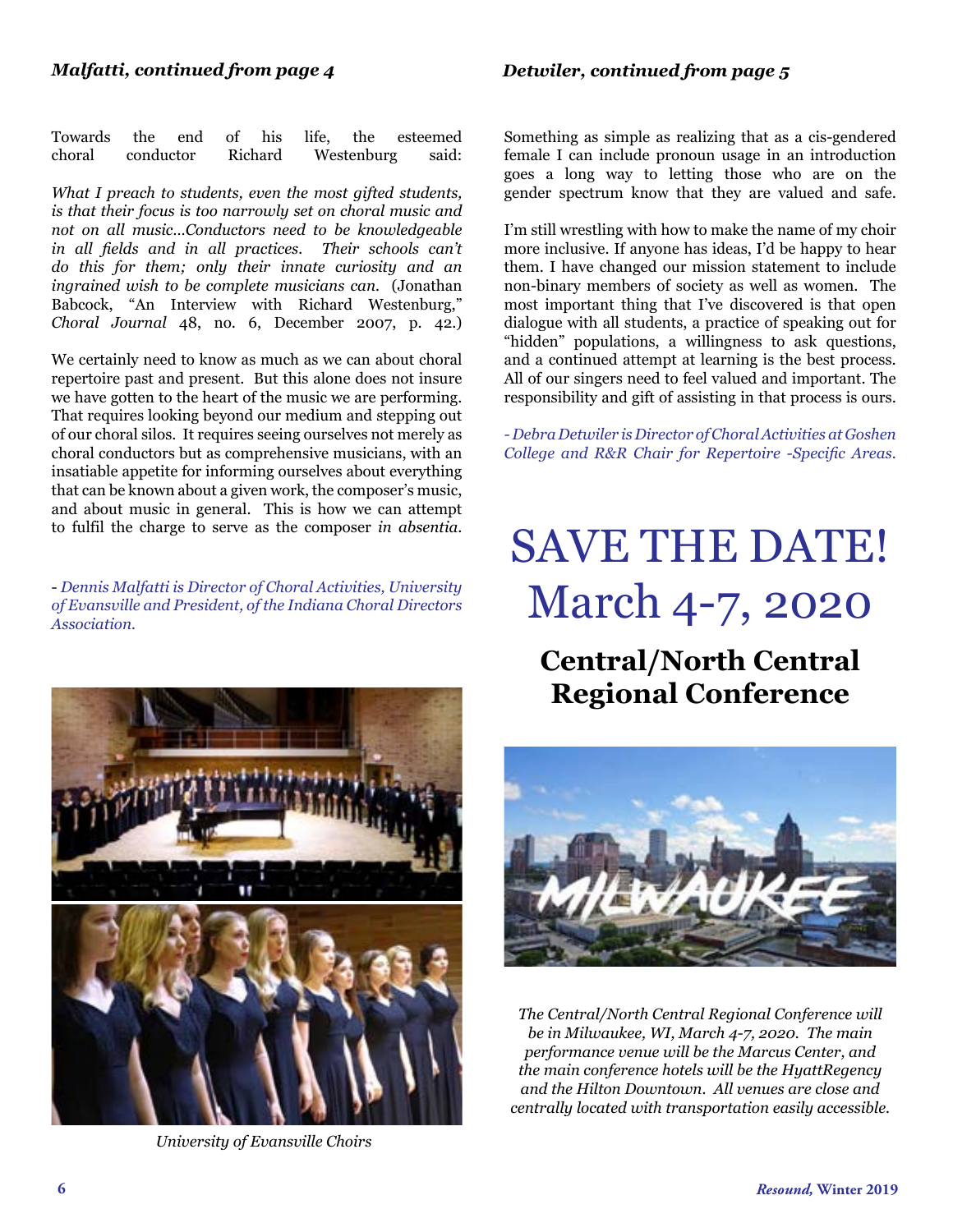Towards the end of his life, the esteemed choral conductor Richard Westenburg said:

*What I preach to students, even the most gifted students, is that their focus is too narrowly set on choral music and not on all music…Conductors need to be knowledgeable in all fields and in all practices. Their schools can't do this for them; only their innate curiosity and an ingrained wish to be complete musicians can.* (Jonathan Babcock, "An Interview with Richard Westenburg," *Choral Journal* 48, no. 6, December 2007, p. 42.)

We certainly need to know as much as we can about choral repertoire past and present. But this alone does not insure we have gotten to the heart of the music we are performing. That requires looking beyond our medium and stepping out of our choral silos. It requires seeing ourselves not merely as choral conductors but as comprehensive musicians, with an insatiable appetite for informing ourselves about everything that can be known about a given work, the composer's music, and about music in general. This is how we can attempt to fulfil the charge to serve as the composer *in absentia*.

- *Dennis Malfatti is Director of Choral Activities, University of Evansville and President, of the Indiana Choral Directors Association.*



*University of Evansville Choirs*

Something as simple as realizing that as a cis-gendered female I can include pronoun usage in an introduction goes a long way to letting those who are on the gender spectrum know that they are valued and safe.

I'm still wrestling with how to make the name of my choir more inclusive. If anyone has ideas, I'd be happy to hear them. I have changed our mission statement to include non-binary members of society as well as women. The most important thing that I've discovered is that open dialogue with all students, a practice of speaking out for "hidden" populations, a willingness to ask questions, and a continued attempt at learning is the best process. All of our singers need to feel valued and important. The responsibility and gift of assisting in that process is ours.

*- Debra Detwiler is Director of Choral Activities at Goshen College and R&R Chair for Repertoire -Specific Areas.*

# SAVE THE DATE! March 4-7, 2020

# **Central/North Central Regional Conference**



*The Central/North Central Regional Conference will be in Milwaukee, WI, March 4-7, 2020. The main performance venue will be the Marcus Center, and the main conference hotels will be the HyattRegency and the Hilton Downtown. All venues are close and centrally located with transportation easily accessible.*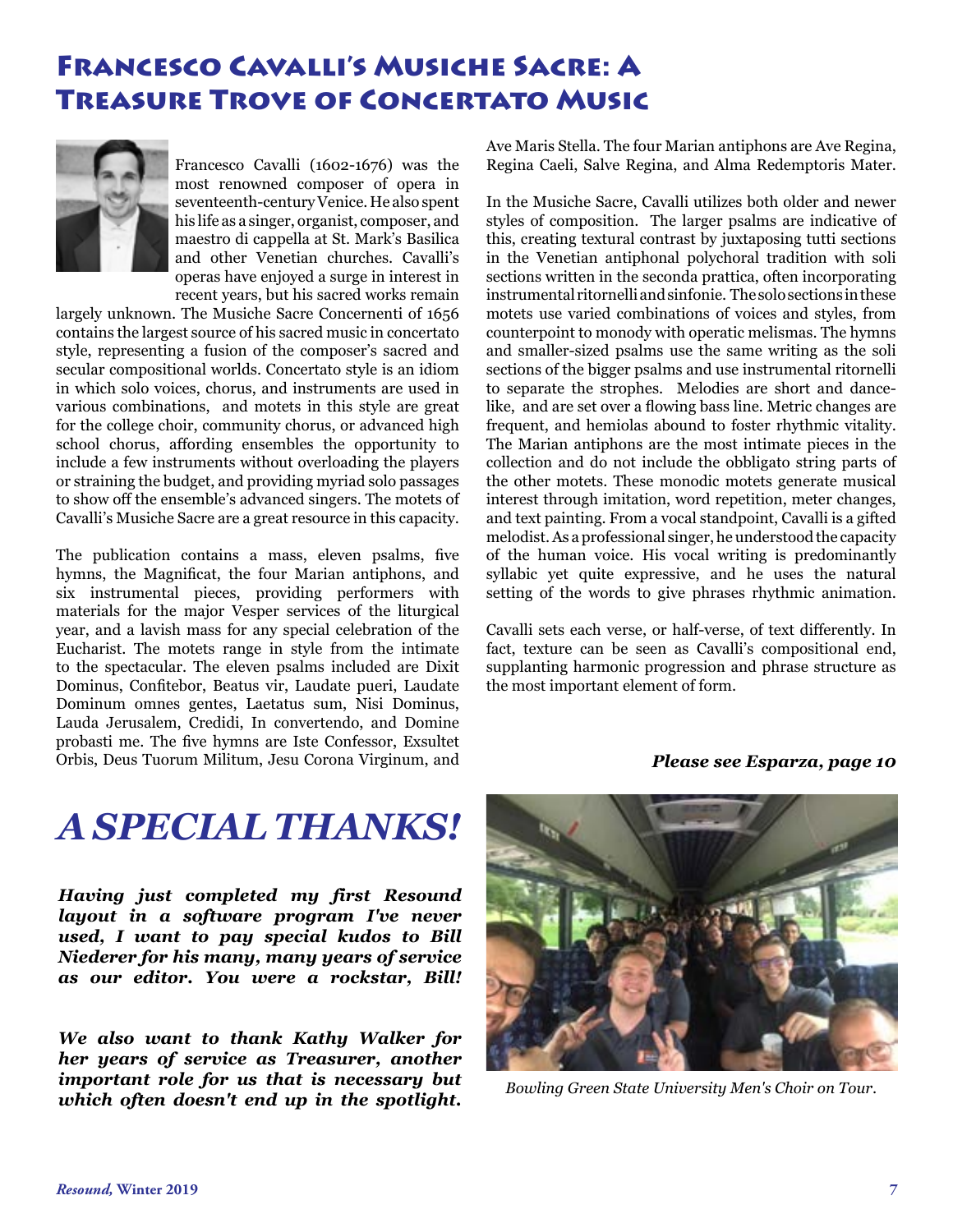## Francesco Cavalli's Musiche Sacre: A Treasure Trove of Concertato Music



Francesco Cavalli (1602-1676) was the most renowned composer of opera in seventeenth-century Venice. He also spent his life as a singer, organist, composer, and maestro di cappella at St. Mark's Basilica and other Venetian churches. Cavalli's operas have enjoyed a surge in interest in recent years, but his sacred works remain

largely unknown. The Musiche Sacre Concernenti of 1656 contains the largest source of his sacred music in concertato style, representing a fusion of the composer's sacred and secular compositional worlds. Concertato style is an idiom in which solo voices, chorus, and instruments are used in various combinations, and motets in this style are great for the college choir, community chorus, or advanced high school chorus, affording ensembles the opportunity to include a few instruments without overloading the players or straining the budget, and providing myriad solo passages to show off the ensemble's advanced singers. The motets of Cavalli's Musiche Sacre are a great resource in this capacity.

The publication contains a mass, eleven psalms, five hymns, the Magnificat, the four Marian antiphons, and six instrumental pieces, providing performers with materials for the major Vesper services of the liturgical year, and a lavish mass for any special celebration of the Eucharist. The motets range in style from the intimate to the spectacular. The eleven psalms included are Dixit Dominus, Confitebor, Beatus vir, Laudate pueri, Laudate Dominum omnes gentes, Laetatus sum, Nisi Dominus, Lauda Jerusalem, Credidi, In convertendo, and Domine probasti me. The five hymns are Iste Confessor, Exsultet Orbis, Deus Tuorum Militum, Jesu Corona Virginum, and Ave Maris Stella. The four Marian antiphons are Ave Regina, Regina Caeli, Salve Regina, and Alma Redemptoris Mater.

In the Musiche Sacre, Cavalli utilizes both older and newer styles of composition. The larger psalms are indicative of this, creating textural contrast by juxtaposing tutti sections in the Venetian antiphonal polychoral tradition with soli sections written in the seconda prattica, often incorporating instrumental ritornelli and sinfonie. The solo sections in these motets use varied combinations of voices and styles, from counterpoint to monody with operatic melismas. The hymns and smaller-sized psalms use the same writing as the soli sections of the bigger psalms and use instrumental ritornelli to separate the strophes. Melodies are short and dancelike, and are set over a flowing bass line. Metric changes are frequent, and hemiolas abound to foster rhythmic vitality. The Marian antiphons are the most intimate pieces in the collection and do not include the obbligato string parts of the other motets. These monodic motets generate musical interest through imitation, word repetition, meter changes, and text painting. From a vocal standpoint, Cavalli is a gifted melodist. As a professional singer, he understood the capacity of the human voice. His vocal writing is predominantly syllabic yet quite expressive, and he uses the natural setting of the words to give phrases rhythmic animation.

Cavalli sets each verse, or half-verse, of text differently. In fact, texture can be seen as Cavalli's compositional end, supplanting harmonic progression and phrase structure as the most important element of form.

#### *Please see Esparza, page 10*

# *A SPECIAL THANKS!*

*Having just completed my first Resound layout in a software program I've never used, I want to pay special kudos to Bill Niederer for his many, many years of service as our editor. You were a rockstar, Bill!*

*We also want to thank Kathy Walker for her years of service as Treasurer, another important role for us that is necessary but which often doesn't end up in the spotlight. Bowling Green State University Men's Choir on Tour*.

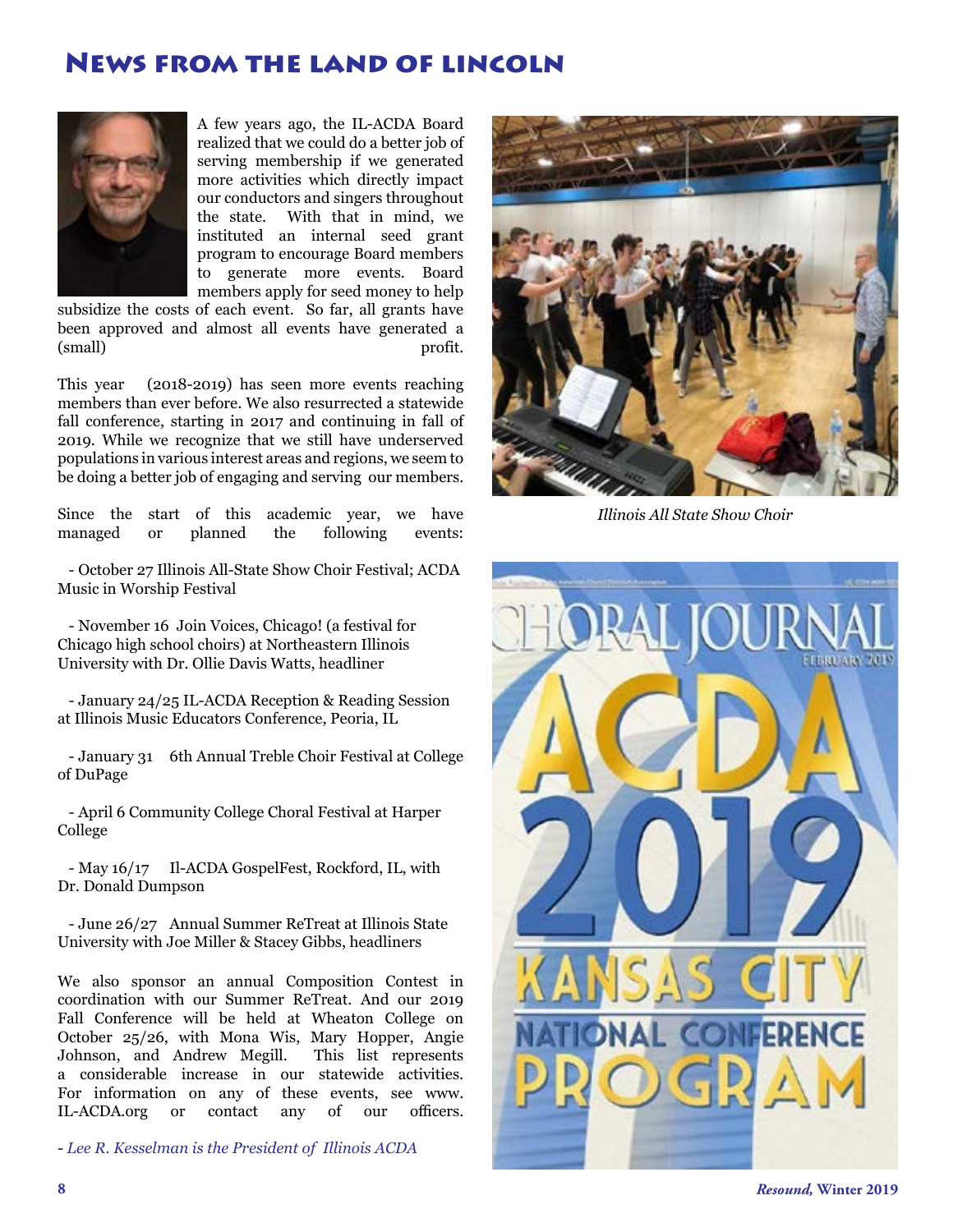### News from the land of lincoln



[A](file:/Users/cludwa/Desktop/Resound%20Winter%2019/Winter%2019%20Photos/Kesselman%20Headshot.jpg) few years ago, the IL-ACDA Board realized that we could do a better job of serving membership if we generated more activities which directly impact our conductors and singers throughout the state. With that in mind, we instituted an internal seed grant program to encourage Board members to generate more events. Board members apply for seed money to help

subsidize the costs of each event. So far, all grants have been approved and almost all events have generated a (small) profit.

This year (2018-2019) has seen more events reaching members than ever before. We also resurrected a statewide fall conference, starting in 2017 and continuing in fall of 2019. While we recognize that we still have underserved populations in various interest areas and regions, we seem to be doing a better job of engaging and serving our members.

Since the start of this academic year, we have managed or planned the following events:

 - October 27 Illinois All-State Show Choir Festival; ACDA Music in Worship Festival

 - November 16 Join Voices, Chicago! (a festival for Chicago high school choirs) at Northeastern Illinois University with Dr. Ollie Davis Watts, headliner

 - January 24/25 IL-ACDA Reception & Reading Session at Illinois Music Educators Conference, Peoria, IL

 - January 31 6th Annual Treble Choir Festival at College of DuPage

 - April 6 Community College Choral Festival at Harper College

 - May 16/17 Il-ACDA GospelFest, Rockford, IL, with Dr. Donald Dumpson

 - June 26/27 Annual Summer ReTreat at Illinois State University with Joe Miller & Stacey Gibbs, headliners

We also sponsor an annual Composition Contest in coordination with our Summer ReTreat. And our 2019 Fall Conference will be held at Wheaton College on October 25/26, with Mona Wis, Mary Hopper, Angie Johnson, and Andrew Megill. This list represents a considerable increase in our statewide activities. For information on any of these events, see www.<br>IL-ACDA.org or contact any of our officers. IL-ACDA.org or contact any of our

- *Lee R. Kesselman is the President of Illinois ACDA*



*Illinois All State Show Choir*

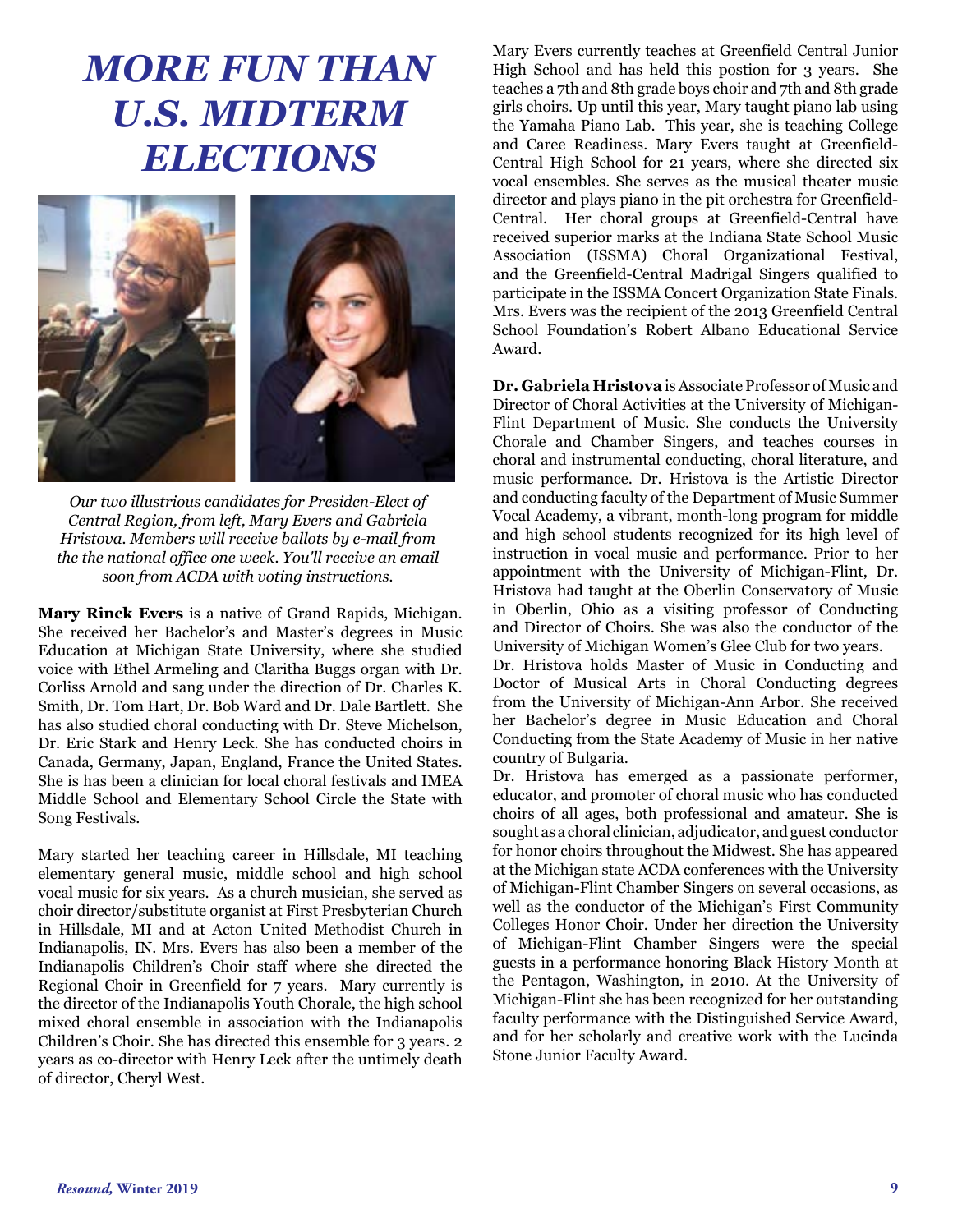# *MORE FUN THAN U.S. MIDTERM ELECTIONS*



*Our two illustrious candidates for Presiden-Elect of Central Region, from left, Mary Evers and Gabriela Hristova. Members will receive ballots by e-mail from the the national office one week. You'll receive an email soon from ACDA with voting instructions.*

**Mary Rinck Evers** is a native of Grand Rapids, Michigan. She received her Bachelor's and Master's degrees in Music Education at Michigan State University, where she studied voice with Ethel Armeling and Claritha Buggs organ with Dr. Corliss Arnold and sang under the direction of Dr. Charles K. Smith, Dr. Tom Hart, Dr. Bob Ward and Dr. Dale Bartlett. She has also studied choral conducting with Dr. Steve Michelson, Dr. Eric Stark and Henry Leck. She has conducted choirs in Canada, Germany, Japan, England, France the United States. She is has been a clinician for local choral festivals and IMEA Middle School and Elementary School Circle the State with Song Festivals.

Mary started her teaching career in Hillsdale, MI teaching elementary general music, middle school and high school vocal music for six years. As a church musician, she served as choir director/substitute organist at First Presbyterian Church in Hillsdale, MI and at Acton United Methodist Church in Indianapolis, IN. Mrs. Evers has also been a member of the Indianapolis Children's Choir staff where she directed the Regional Choir in Greenfield for 7 years. Mary currently is the director of the Indianapolis Youth Chorale, the high school mixed choral ensemble in association with the Indianapolis Children's Choir. She has directed this ensemble for 3 years. 2 years as co-director with Henry Leck after the untimely death of director, Cheryl West.

Mary Evers currently teaches at Greenfield Central Junior High School and has held this postion for 3 years. She teaches a 7th and 8th grade boys choir and 7th and 8th grade girls choirs. Up until this year, Mary taught piano lab using the Yamaha Piano Lab. This year, she is teaching College and Caree Readiness. Mary Evers taught at Greenfield-Central High School for 21 years, where she directed six vocal ensembles. She serves as the musical theater music director and plays piano in the pit orchestra for Greenfield-Central. Her choral groups at Greenfield-Central have received superior marks at the Indiana State School Music Association (ISSMA) Choral Organizational Festival, and the Greenfield-Central Madrigal Singers qualified to participate in the ISSMA Concert Organization State Finals. Mrs. Evers was the recipient of the 2013 Greenfield Central School Foundation's Robert Albano Educational Service Award.

**Dr. Gabriela Hristova** is Associate Professor of Music and Director of Choral Activities at the University of Michigan-Flint Department of Music. She conducts the University Chorale and Chamber Singers, and teaches courses in choral and instrumental conducting, choral literature, and music performance. Dr. Hristova is the Artistic Director and conducting faculty of the Department of Music Summer Vocal Academy, a vibrant, month-long program for middle and high school students recognized for its high level of instruction in vocal music and performance. Prior to her appointment with the University of Michigan-Flint, Dr. Hristova had taught at the Oberlin Conservatory of Music in Oberlin, Ohio as a visiting professor of Conducting and Director of Choirs. She was also the conductor of the University of Michigan Women's Glee Club for two years.

Dr. Hristova holds Master of Music in Conducting and Doctor of Musical Arts in Choral Conducting degrees from the University of Michigan-Ann Arbor. She received her Bachelor's degree in Music Education and Choral Conducting from the State Academy of Music in her native country of Bulgaria.

Dr. Hristova has emerged as a passionate performer, educator, and promoter of choral music who has conducted choirs of all ages, both professional and amateur. She is sought as a choral clinician, adjudicator, and guest conductor for honor choirs throughout the Midwest. She has appeared at the Michigan state ACDA conferences with the University of Michigan-Flint Chamber Singers on several occasions, as well as the conductor of the Michigan's First Community Colleges Honor Choir. Under her direction the University of Michigan-Flint Chamber Singers were the special guests in a performance honoring Black History Month at the Pentagon, Washington, in 2010. At the University of Michigan-Flint she has been recognized for her outstanding faculty performance with the Distinguished Service Award, and for her scholarly and creative work with the Lucinda Stone Junior Faculty Award.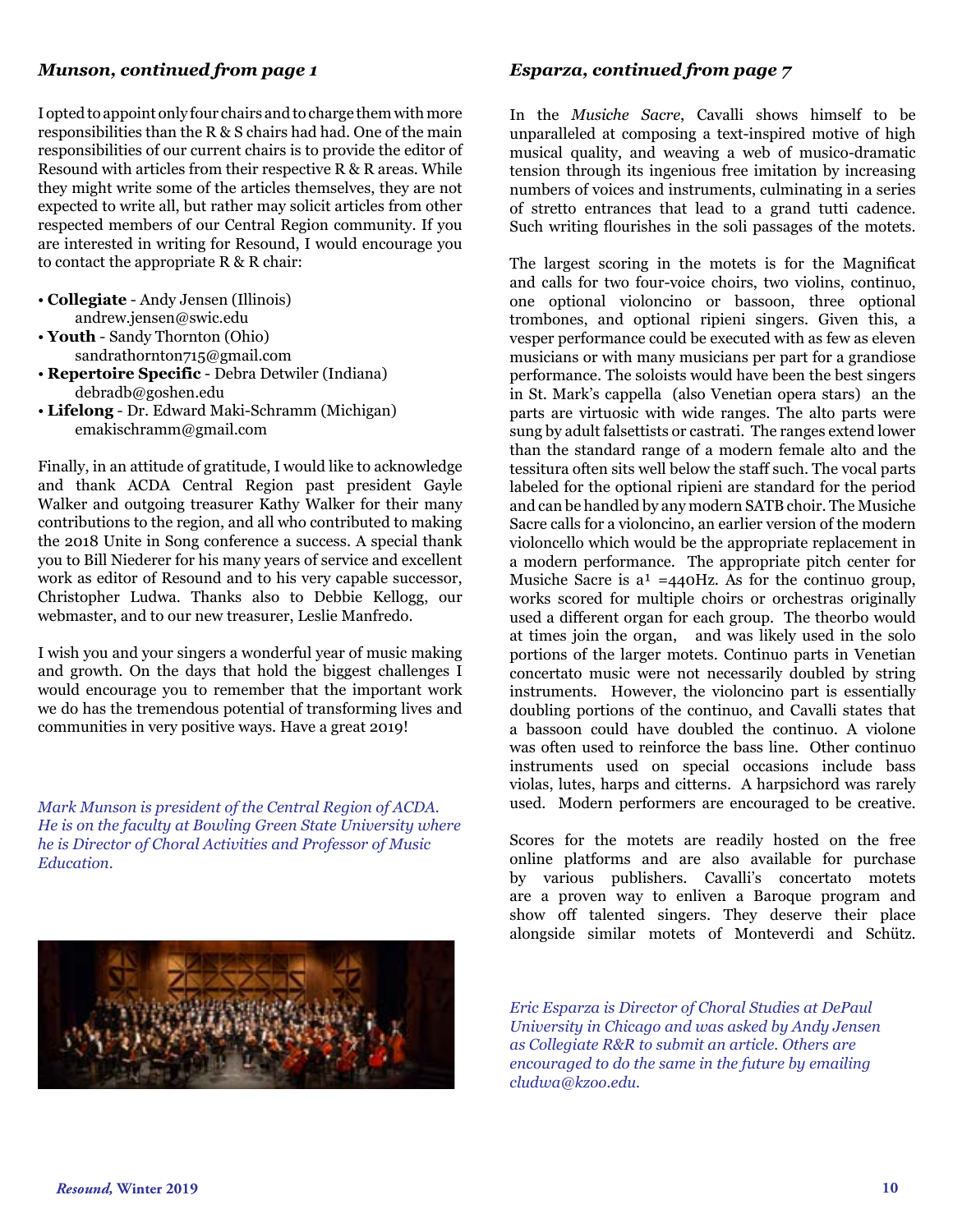#### *Munson, continued from page 1*

I opted to appoint only four chairs and to charge them with more responsibilities than the R & S chairs had had. One of the main responsibilities of our current chairs is to provide the editor of Resound with articles from their respective R & R areas. While they might write some of the articles themselves, they are not expected to write all, but rather may solicit articles from other respected members of our Central Region community. If you are interested in writing for Resound, I would encourage you to contact the appropriate R & R chair:

- **Collegiate** Andy Jensen (Illinois) andrew.jensen@swic.edu
- **Youth** Sandy Thornton (Ohio) sandrathornton715@gmail.com
- **Repertoire Specific** Debra Detwiler (Indiana) debradb@goshen.edu
- **Lifelong** Dr. Edward Maki-Schramm (Michigan) emakischramm@gmail.com

Finally, in an attitude of gratitude, I would like to acknowledge and thank ACDA Central Region past president Gayle Walker and outgoing treasurer Kathy Walker for their many contributions to the region, and all who contributed to making the 2018 Unite in Song conference a success. A special thank you to Bill Niederer for his many years of service and excellent work as editor of Resound and to his very capable successor, Christopher Ludwa. Thanks also to Debbie Kellogg, our webmaster, and to our new treasurer, Leslie Manfredo.

I wish you and your singers a wonderful year of music making and growth. On the days that hold the biggest challenges I would encourage you to remember that the important work we do has the tremendous potential of transforming lives and communities in very positive ways. Have a great 2019!

*Mark Munson is president of the Central Region of ACDA. He is on the faculty at Bowling Green State University where he is Director of Choral Activities and Professor of Music Education.*



#### *Esparza, continued from page 7*

In the *Musiche Sacre*, Cavalli shows himself to be unparalleled at composing a text-inspired motive of high musical quality, and weaving a web of musico-dramatic tension through its ingenious free imitation by increasing numbers of voices and instruments, culminating in a series of stretto entrances that lead to a grand tutti cadence. Such writing flourishes in the soli passages of the motets.

The largest scoring in the motets is for the Magnificat and calls for two four-voice choirs, two violins, continuo, one optional violoncino or bassoon, three optional trombones, and optional ripieni singers. Given this, a vesper performance could be executed with as few as eleven musicians or with many musicians per part for a grandiose performance. The soloists would have been the best singers in St. Mark's cappella (also Venetian opera stars) an the parts are virtuosic with wide ranges. The alto parts were sung by adult falsettists or castrati. The ranges extend lower than the standard range of a modern female alto and the tessitura often sits well below the staff such. The vocal parts labeled for the optional ripieni are standard for the period and can be handled by any modern SATB choir. The Musiche Sacre calls for a violoncino, an earlier version of the modern violoncello which would be the appropriate replacement in a modern performance. The appropriate pitch center for Musiche Sacre is  $a^1 = 440$ Hz. As for the continuo group, works scored for multiple choirs or orchestras originally used a different organ for each group. The theorbo would at times join the organ, and was likely used in the solo portions of the larger motets. Continuo parts in Venetian concertato music were not necessarily doubled by string instruments. However, the violoncino part is essentially doubling portions of the continuo, and Cavalli states that a bassoon could have doubled the continuo. A violone was often used to reinforce the bass line. Other continuo instruments used on special occasions include bass violas, lutes, harps and citterns. A harpsichord was rarely used. Modern performers are encouraged to be creative.

Scores for the motets are readily hosted on the free online platforms and are also available for purchase by various publishers. Cavalli's concertato motets are a proven way to enliven a Baroque program and show off talented singers. They deserve their place alongside similar motets of Monteverdi and Schütz.

*Eric Esparza is Director of Choral Studies at DePaul University in Chicago and was asked by Andy Jensen as Collegiate R&R to submit an article. Others are encouraged to do the same in the future by emailing cludwa@kzoo.edu.*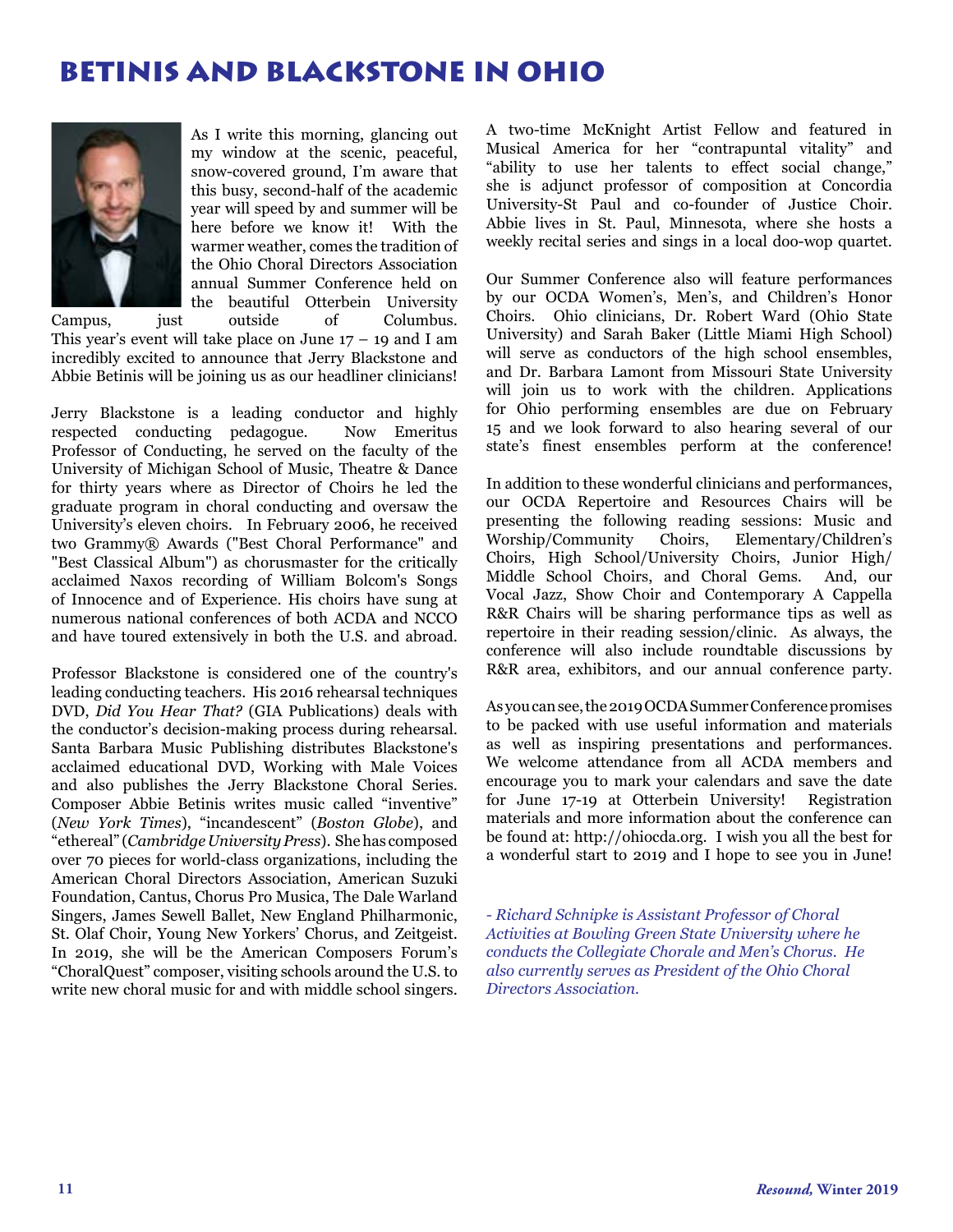# BETINIS AND BLACKSTONE IN OHIO



[A](file:/Users/cludwa/Desktop/Resound%20Winter%2019/Winter%2019%20Photos/Kesselman%20Headshot.jpg)s I write this morning, glancing out my window at the scenic, peaceful, snow-covered ground, I'm aware that this busy, second-half of the academic year will speed by and summer will be here before we know it! With the warmer weather, comes the tradition of the Ohio Choral Directors Association annual Summer Conference held on the beautiful Otterbein University Campus, just outside of Columbus.

This year's event will take place on June  $17 - 19$  and I am incredibly excited to announce that Jerry Blackstone and Abbie Betinis will be joining us as our headliner clinicians!

Jerry Blackstone is a leading conductor and highly respected conducting pedagogue. Now Emeritus Professor of Conducting, he served on the faculty of the University of Michigan School of Music, Theatre & Dance for thirty years where as Director of Choirs he led the graduate program in choral conducting and oversaw the University's eleven choirs. In February 2006, he received two Grammy® Awards ("Best Choral Performance" and "Best Classical Album") as chorusmaster for the critically acclaimed Naxos recording of William Bolcom's Songs of Innocence and of Experience. His choirs have sung at numerous national conferences of both ACDA and NCCO and have toured extensively in both the U.S. and abroad.

Professor Blackstone is considered one of the country's leading conducting teachers. His 2016 rehearsal techniques DVD, *Did You Hear That?* (GIA Publications) deals with the conductor's decision-making process during rehearsal. Santa Barbara Music Publishing distributes Blackstone's acclaimed educational DVD, Working with Male Voices and also publishes the Jerry Blackstone Choral Series. Composer Abbie Betinis writes music called "inventive" (*New York Times*), "incandescent" (*Boston Globe*), and "ethereal" (*Cambridge University Press*). She has composed over 70 pieces for world-class organizations, including the American Choral Directors Association, American Suzuki Foundation, Cantus, Chorus Pro Musica, The Dale Warland Singers, James Sewell Ballet, New England Philharmonic, St. Olaf Choir, Young New Yorkers' Chorus, and Zeitgeist. In 2019, she will be the American Composers Forum's "ChoralQuest" composer, visiting schools around the U.S. to write new choral music for and with middle school singers.

A two-time McKnight Artist Fellow and featured in Musical America for her "contrapuntal vitality" and "ability to use her talents to effect social change," she is adjunct professor of composition at Concordia University-St Paul and co-founder of Justice Choir. Abbie lives in St. Paul, Minnesota, where she hosts a weekly recital series and sings in a local doo-wop quartet.

Our Summer Conference also will feature performances by our OCDA Women's, Men's, and Children's Honor Choirs. Ohio clinicians, Dr. Robert Ward (Ohio State University) and Sarah Baker (Little Miami High School) will serve as conductors of the high school ensembles, and Dr. Barbara Lamont from Missouri State University will join us to work with the children. Applications for Ohio performing ensembles are due on February 15 and we look forward to also hearing several of our state's finest ensembles perform at the conference!

In addition to these wonderful clinicians and performances, our OCDA Repertoire and Resources Chairs will be presenting the following reading sessions: Music and Worship/Community Choirs, Elementary/Children's Choirs, High School/University Choirs, Junior High/ Middle School Choirs, and Choral Gems. And, our Vocal Jazz, Show Choir and Contemporary A Cappella R&R Chairs will be sharing performance tips as well as repertoire in their reading session/clinic. As always, the conference will also include roundtable discussions by R&R area, exhibitors, and our annual conference party.

As you can see, the 2019 OCDA Summer Conference promises to be packed with use useful information and materials as well as inspiring presentations and performances. We welcome attendance from all ACDA members and encourage you to mark your calendars and save the date for June 17-19 at Otterbein University! Registration materials and more information about the conference can be found at: http://ohiocda.org. I wish you all the best for a wonderful start to 2019 and I hope to see you in June!

*- Richard Schnipke is Assistant Professor of Choral Activities at Bowling Green State University where he conducts the Collegiate Chorale and Men's Chorus. He also currently serves as President of the Ohio Choral Directors Association.*